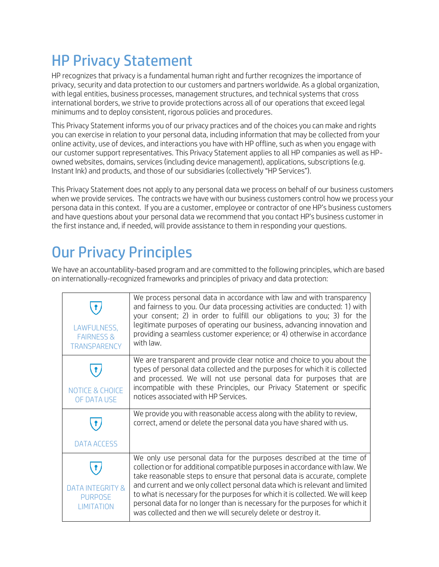## HP Privacy Statement

HP recognizes that privacy is a fundamental human right and further recognizes the importance of privacy, security and data protection to our customers and partners worldwide. As a global organization, with legal entities, business processes, management structures, and technical systems that cross international borders, we strive to provide protections across all of our operations that exceed legal minimums and to deploy consistent, rigorous policies and procedures.

This Privacy Statement informs you of our privacy practices and of the choices you can make and rights you can exercise in relation to your personal data, including information that may be collected from your online activity, use of devices, and interactions you have with HP offline, such as when you engage with our customer support representatives. This Privacy Statement applies to all HP companies as well as HPowned websites, domains, services (including device management), applications, subscriptions (e.g. Instant Ink) and products, and those of our subsidiaries (collectively "HP Services").

This Privacy Statement does not apply to any personal data we process on behalf of our business customers when we provide services. The contracts we have with our business customers control how we process your persona data in this context. If you are a customer, employee or contractor of one HP's business customers and have questions about your personal data we recommend that you contact HP's business customer in the first instance and, if needed, will provide assistance to them in responding your questions.

# Our Privacy Principles

We have an accountability-based program and are committed to the following principles, which are based on internationally-recognized frameworks and principles of privacy and data protection:

| LAWFULNESS,<br><b>FAIRNESS &amp;</b><br><b>TRANSPARENCY</b> | We process personal data in accordance with law and with transparency<br>and fairness to you. Our data processing activities are conducted: 1) with<br>your consent; 2) in order to fulfill our obligations to you; 3) for the<br>legitimate purposes of operating our business, advancing innovation and<br>providing a seamless customer experience; or 4) otherwise in accordance<br>with law.                                                                                                                                              |
|-------------------------------------------------------------|------------------------------------------------------------------------------------------------------------------------------------------------------------------------------------------------------------------------------------------------------------------------------------------------------------------------------------------------------------------------------------------------------------------------------------------------------------------------------------------------------------------------------------------------|
| <b>NOTICE &amp; CHOICE</b><br>OF DATA USE                   | We are transparent and provide clear notice and choice to you about the<br>types of personal data collected and the purposes for which it is collected<br>and processed. We will not use personal data for purposes that are<br>incompatible with these Principles, our Privacy Statement or specific<br>notices associated with HP Services.                                                                                                                                                                                                  |
| <b>DATA ACCESS</b>                                          | We provide you with reasonable access along with the ability to review,<br>correct, amend or delete the personal data you have shared with us.                                                                                                                                                                                                                                                                                                                                                                                                 |
| <b>DATA INTEGRITY &amp;</b><br><b>PURPOSE</b><br>IMITATION  | We only use personal data for the purposes described at the time of<br>collection or for additional compatible purposes in accordance with law. We<br>take reasonable steps to ensure that personal data is accurate, complete<br>and current and we only collect personal data which is relevant and limited<br>to what is necessary for the purposes for which it is collected. We will keep<br>personal data for no longer than is necessary for the purposes for which it<br>was collected and then we will securely delete or destroy it. |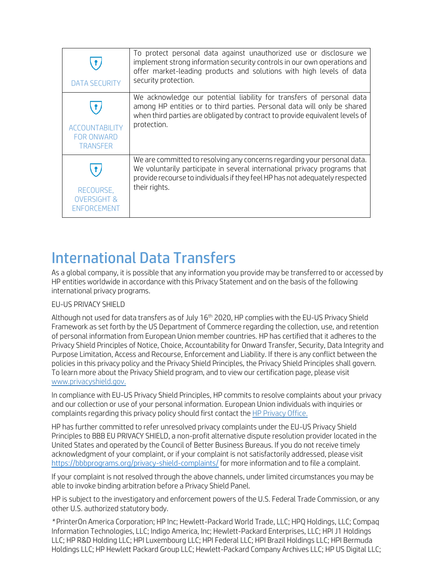| <b>DATA SECURITY</b>                                          | To protect personal data against unauthorized use or disclosure we<br>implement strong information security controls in our own operations and<br>offer market-leading products and solutions with high levels of data<br>security protection.         |
|---------------------------------------------------------------|--------------------------------------------------------------------------------------------------------------------------------------------------------------------------------------------------------------------------------------------------------|
| <b>ACCOUNTABILITY</b><br><b>FOR ONWARD</b><br><b>TRANSFER</b> | We acknowledge our potential liability for transfers of personal data<br>among HP entities or to third parties. Personal data will only be shared<br>when third parties are obligated by contract to provide equivalent levels of<br>protection.       |
| RECOURSE,<br><b>OVERSIGHT &amp;</b><br>ENFORCEMENT            | We are committed to resolving any concerns regarding your personal data.<br>We voluntarily participate in several international privacy programs that<br>provide recourse to individuals if they feel HP has not adequately respected<br>their rights. |

## International Data Transfers

As a global company, it is possible that any information you provide may be transferred to or accessed by HP entities worldwide in accordance with this Privacy Statement and on the basis of the following international privacy programs.

#### EU-US PRIVACY SHIELD

Although not used for data transfers as of July 16<sup>th</sup> 2020, HP complies with the EU-US Privacy Shield Framework as set forth by the US Department of Commerce regarding the collection, use, and retention of personal information from European Union member countries. HP has certified that it adheres to the Privacy Shield Principles of Notice, Choice, Accountability for Onward Transfer, Security, Data Integrity and Purpose Limitation, Access and Recourse, Enforcement and Liability. If there is any conflict between the policies in this privacy policy and the Privacy Shield Principles, the Privacy Shield Principles shall govern. To learn more about the Privacy Shield program, and to view our certification page, please visit [www.privacyshield.gov.](http://www.privacyshield.gov/)

In compliance with EU-US Privacy Shield Principles, HP commits to resolve complaints about your privacy and our collection or use of your personal information. European Union individuals with inquiries or complaints regarding this privacy policy should first contact the [HP Privacy Office.](http://www8.hp.com/us/en/privacy/ww-privacy-form.html)

HP has further committed to refer unresolved privacy complaints under the EU-US Privacy Shield Principles to BBB EU PRIVACY SHIELD, a non-profit alternative dispute resolution provider located in the United States and operated by the Council of Better Business Bureaus. If you do not receive timely acknowledgment of your complaint, or if your complaint is not satisfactorily addressed, please visit <https://bbbprograms.org/privacy-shield-complaints/> for more information and to file a complaint.

If your complaint is not resolved through the above channels, under limited circumstances you may be able to invoke binding arbitration before a Privacy Shield Panel.

HP is subject to the investigatory and enforcement powers of the U.S. Federal Trade Commission, or any other U.S. authorized statutory body.

*\** PrinterOn America Corporation; HP Inc; Hewlett-Packard World Trade, LLC; HPQ Holdings, LLC; Compaq Information Technologies, LLC; Indigo America, Inc; Hewlett-Packard Enterprises, LLC; HPI J1 Holdings LLC; HP R&D Holding LLC; HPI Luxembourg LLC; HPI Federal LLC; HPI Brazil Holdings LLC; HPI Bermuda Holdings LLC; HP Hewlett Packard Group LLC; Hewlett-Packard Company Archives LLC; HP US Digital LLC;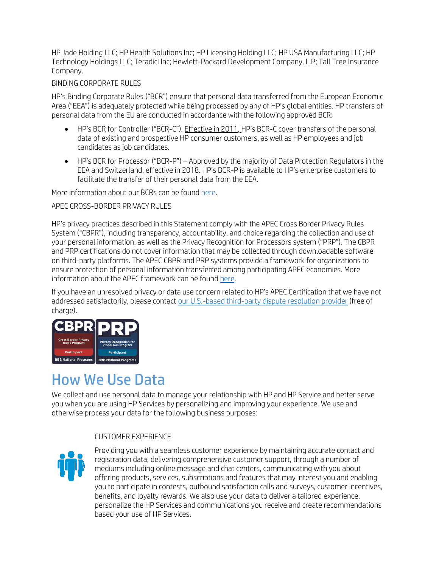HP Jade Holding LLC; HP Health Solutions Inc; HP Licensing Holding LLC; HP USA Manufacturing LLC; HP Technology Holdings LLC; Teradici Inc; Hewlett-Packard Development Company, L.P; Tall Tree Insurance Company.

#### BINDING CORPORATE RULES

HP's Binding Corporate Rules ("BCR") ensure that personal data transferred from the European Economic Area ("EEA") is adequately protected while being processed by any of HP's global entities. HP transfers of personal data from the EU are conducted in accordance with the following approved BCR:

- HP's BCR for Controller ("BCR-C"). Effective in 2011, HP's BCR-C cover transfers of the personal data of existing and prospective HP consumer customers, as well as HP employees and job candidates as job candidates.
- HP's BCR for Processor ("BCR-P") Approved by the majority of Data Protection Regulators in the EEA and Switzerland, effective in 2018. HP's BCR-P is available to HP's enterprise customers to facilitate the transfer of their personal data from the EEA.

More information about our BCRs can be foun[d here.](https://www8.hp.com/uk/en/binding-corporate-rules.html)

#### APEC CROSS-BORDER PRIVACY RULES

HP's privacy practices described in this Statement comply with the APEC Cross Border Privacy Rules System ("CBPR"), including transparency, accountability, and choice regarding the collection and use of your personal information, as well as the Privacy Recognition for Processors system ("PRP"). The CBPR and PRP certifications do not cover information that may be collected through downloadable software on third-party platforms. The APEC CBPR and PRP systems provide a framework for organizations to ensure protection of personal information transferred among participating APEC economies. More information about the APEC framework can be found [here.](http://www.cbprs.org/)

If you have an unresolved privacy or data use concern related to HP's APEC Certification that we have not addressed satisfactorily, please contact [our U.S.-based third-party dispute resolution provider](https://bbbprograms.org/programs/all-programs/GlobalPrivacyDivision/APEC-Certifications/FileAPEC-Complaint) (free of charge).



## How We Use Data

We collect and use personal data to manage your relationship with HP and HP Service and better serve you when you are using HP Services by personalizing and improving your experience. We use and otherwise process your data for the following business purposes:

#### CUSTOMER EXPERIENCE



Providing you with a seamless customer experience by maintaining accurate contact and registration data, delivering comprehensive customer support, through a number of mediums including online message and chat centers, communicating with you about offering products, services, subscriptions and features that may interest you and enabling you to participate in contests, outbound satisfaction calls and surveys, customer incentives, benefits, and loyalty rewards. We also use your data to deliver a tailored experience, personalize the HP Services and communications you receive and create recommendations based your use of HP Services.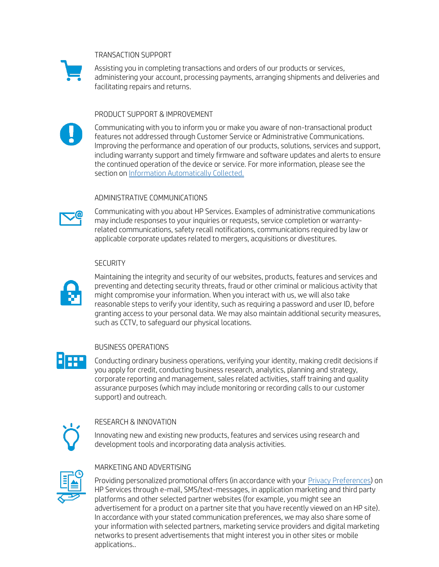#### TRANSACTION SUPPORT



Assisting you in completing transactions and orders of our products or services, administering your account, processing payments, arranging shipments and deliveries and facilitating repairs and returns.

#### PRODUCT SUPPORT & IMPROVEMENT



Communicating with you to inform you or make you aware of non-transactional product features not addressed through Customer Service or Administrative Communications. Improving the performance and operation of our products, solutions, services and support, including warranty support and timely firmware and software updates and alerts to ensure the continued operation of the device or service. For more information, please see the section o[n Information Automatically Collected.](http://www8.hp.com/us/en/privacy/use-of-cookies.html)

#### ADMINISTRATIVE COMMUNICATIONS



Communicating with you about HP Services. Examples of administrative communications may include responses to your inquiries or requests, service completion or warrantyrelated communications, safety recall notifications, communications required by law or applicable corporate updates related to mergers, acquisitions or divestitures.

#### **SECURITY**



E ger

Maintaining the integrity and security of our websites, products, features and services and preventing and detecting security threats, fraud or other criminal or malicious activity that might compromise your information. When you interact with us, we will also take reasonable steps to verify your identity, such as requiring a password and user ID, before granting access to your personal data. We may also maintain additional security measures, such as CCTV, to safeguard our physical locations.

#### BUSINESS OPERATIONS

Conducting ordinary business operations, verifying your identity, making credit decisions if you apply for credit, conducting business research, analytics, planning and strategy, corporate reporting and management, sales related activities, staff training and quality assurance purposes (which may include monitoring or recording calls to our customer support) and outreach.



#### RESEARCH & INNOVATION

Innovating new and existing new products, features and services using research and development tools and incorporating data analysis activities.



#### MARKETING AND ADVERTISING

Providing personalized promotional offers (in accordance with your **Privacy Preferences**) on HP Services through e-mail, SMS/text-messages, in application marketing and third party platforms and other selected partner websites (for example, you might see an advertisement for a product on a partner site that you have recently viewed on an HP site). In accordance with your stated communication preferences, we may also share some of your information with selected partners, marketing service providers and digital marketing networks to present advertisements that might interest you in other sites or mobile applications..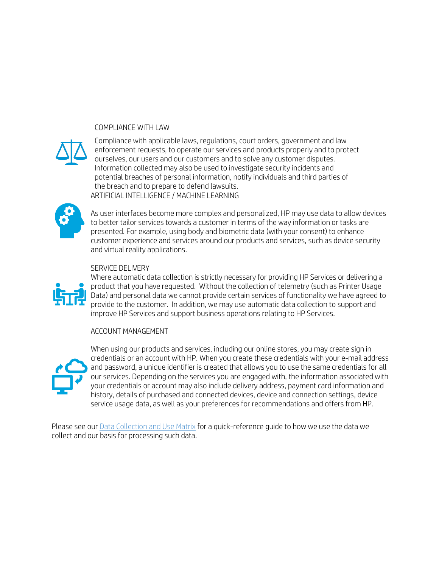#### COMPLIANCE WITH LAW



Compliance with applicable laws, regulations, court orders, government and law enforcement requests, to operate our services and products properly and to protect ourselves, our users and our customers and to solve any customer disputes. Information collected may also be used to investigate security incidents and potential breaches of personal information, notify individuals and third parties of the breach and to prepare to defend lawsuits. ARTIFICIAL INTELLIGENCE / MACHINE LEARNING



As user interfaces become more complex and personalized, HP may use data to allow devices to better tailor services towards a customer in terms of the way information or tasks are presented. For example, using body and biometric data (with your consent) to enhance customer experience and services around our products and services, such as device security and virtual reality applications.

#### SERVICE DELIVERY



Where automatic data collection is strictly necessary for providing HP Services or delivering a product that you have requested. Without the collection of telemetry (such as Printer Usage Data) and personal data we cannot provide certain services of functionality we have agreed to provide to the customer. In addition, we may use automatic data collection to support and improve HP Services and support business operations relating to HP Services.

#### ACCOUNT MANAGEMENT



When using our products and services, including our online stores, you may create sign in credentials or an account with HP. When you create these credentials with your e-mail address and password, a unique identifier is created that allows you to use the same credentials for all our services. Depending on the services you are engaged with, the information associated with your credentials or account may also include delivery address, payment card information and history, details of purchased and connected devices, device and connection settings, device service usage data, as well as your preferences for recommendations and offers from HP.

Please see our [Data Collection and Use Matrix](http://www8.hp.com/us/en/pdf/privacy/HP_Privacy_Matrix.pdf) for a quick-reference guide to how we use the data we collect and our basis for processing such data.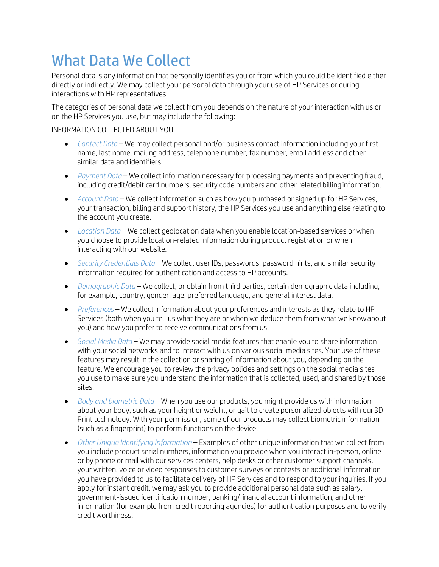## What Data We Collect

Personal data is any information that personally identifies you or from which you could be identified either directly or indirectly. We may collect your personal data through your use of HP Services or during interactions with HP representatives.

The categories of personal data we collect from you depends on the nature of your interaction with us or on the HP Services you use, but may include the following:

#### INFORMATION COLLECTED ABOUT YOU

- *Contact Data*  We may collect personal and/or business contact information including your first name, last name, mailing address, telephone number, fax number, email address and other similar data and identifiers.
- *Payment Data*  We collect information necessary for processing payments and preventing fraud, including credit/debit card numbers, security code numbers and other related billinginformation.
- *Account Data*  We collect information such as how you purchased or signed up for HP Services, your transaction, billing and support history, the HP Services you use and anything else relating to the account you create.
- *Location Data* We collect geolocation data when you enable location-based services or when you choose to provide location-related information during product registration or when interacting with our website.
- *Security Credentials Data*  We collect user IDs, passwords, password hints, and similar security information required for authentication and access to HP accounts.
- *Demographic Data*  We collect, or obtain from third parties, certain demographic data including, for example, country, gender, age, preferred language, and general interest data.
- *Preferences*  We collect information about your preferences and interests as they relate to HP Services (both when you tell us what they are or when we deduce them from what we knowabout you) and how you prefer to receive communications from us.
- *Social Media Data*  We may provide social media features that enable you to share information with your social networks and to interact with us on various social media sites. Your use of these features may result in the collection or sharing of information about you, depending on the feature. We encourage you to review the privacy policies and settings on the social media sites you use to make sure you understand the information that is collected, used, and shared by those sites.
- *Body and biometric Data*  When you use our products, you might provide us with information about your body, such as your height or weight, or gait to create personalized objects with our3D Print technology. With your permission, some of our products may collect biometric information (such as a fingerprint) to perform functions on the device.
- *Other Unique Identifying Information*  Examples of other unique information that we collect from you include product serial numbers, information you provide when you interact in-person, online or by phone or mail with our services centers, help desks or other customer support channels, your written, voice or video responses to customer surveys or contests or additional information you have provided to us to facilitate delivery of HP Services and to respond to your inquiries. If you apply for instant credit, we may ask you to provide additional personal data such as salary, government-issued identification number, banking/financial account information, and other information (for example from credit reporting agencies) for authentication purposes and to verify creditworthiness.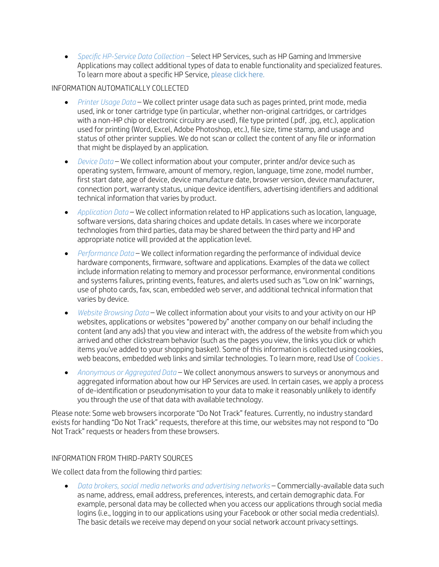• *Specific HP-Service Data Collection –* Select HP Services, such as HP Gaming and Immersive Applications may collect additional types of data to enable functionality and specialized features. To learn more about a specific HP Service[, please click](https://www8.hp.com/us/en/privacy/hp-services-collection-and-data-use.html) here.

#### INFORMATION AUTOMATICALLY COLLECTED

- *Printer Usage Data*  We collect printer usage data such as pages printed, print mode, media used, ink or toner cartridge type (in particular, whether non-original cartridges, or cartridges with a non-HP chip or electronic circuitry are used), file type printed (.pdf, .jpg, etc.), application used for printing (Word, Excel, Adobe Photoshop, etc.), file size, time stamp, and usage and status of other printer supplies. We do not scan or collect the content of any file or information that might be displayed by an application.
- *Device Data*  We collect information about your computer, printer and/or device such as operating system, firmware, amount of memory, region, language, time zone, model number, first start date, age of device, device manufacture date, browser version, device manufacturer, connection port, warranty status, unique device identifiers, advertising identifiers and additional technical information that varies by product.
- *Application Data*  We collect information related to HP applications such as location, language, software versions, data sharing choices and update details. In cases where we incorporate technologies from third parties, data may be shared between the third party and HP and appropriate notice will provided at the application level.
- *Performance Data*  We collect information regarding the performance of individual device hardware components, firmware, software and applications. Examples of the data we collect include information relating to memory and processor performance, environmental conditions and systems failures, printing events, features, and alerts used such as "Low on Ink" warnings, use of photo cards, fax, scan, embedded web server, and additional technical information that varies by device.
- *Website Browsing Data*  We collect information about your visits to and your activity on our HP websites, applications or websites "powered by" another company on our behalf including the content (and any ads) that you view and interact with, the address of the website from which you arrived and other clickstream behavior (such as the pages you view, the links you click or which items you've added to your shopping basket). Some of this information is collected using cookies, web beacons, embedded web links and similar technologies. To learn more, read Use o[f Cookies](https://www8.hp.com/us/en/privacy/) .
- *Anonymous or Aggregated Data*  We collect anonymous answers to surveys or anonymous and aggregated information about how our HP Services are used. In certain cases, we apply a process of de-identification or pseudonymisation to your data to make it reasonably unlikely to identify you through the use of that data with available technology.

Please note: Some web browsers incorporate "Do Not Track" features. Currently, no industry standard exists for handling "Do Not Track" requests, therefore at this time, our websites may not respond to "Do Not Track" requests or headers from these browsers.

#### INFORMATION FROM THIRD-PARTY SOURCES

We collect data from the following third parties:

• *Data brokers, social media networks and advertising networks* – Commercially-available data such as name, address, email address, preferences, interests, and certain demographic data. For example, personal data may be collected when you access our applications through social media logins (i.e., logging in to our applications using your Facebook or other social media credentials). The basic details we receive may depend on your social network account privacy settings.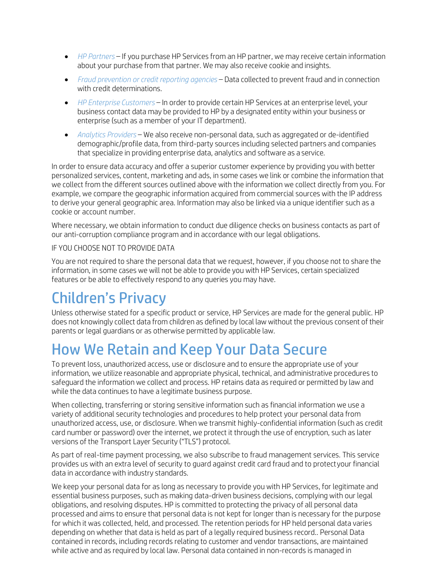- *HP Partners*  If you purchase HP Services from an HP partner, we may receive certain information about your purchase from that partner. We may also receive cookie and insights.
- *Fraud prevention or credit reporting agencies* Data collected to prevent fraud and in connection with credit determinations.
- *HP Enterprise Customers*  In order to provide certain HP Services at an enterprise level, your business contact data may be provided to HP by a designated entity within your business or enterprise (such as a member of your IT department).
- *Analytics Providers*  We also receive non-personal data, such as aggregated or de-identified demographic/profile data, from third-party sources including selected partners and companies that specialize in providing enterprise data, analytics and software as a service.

In order to ensure data accuracy and offer a superior customer experience by providing you with better personalized services, content, marketing and ads, in some cases we link or combine the information that we collect from the different sources outlined above with the information we collect directly from you. For example, we compare the geographic information acquired from commercial sources with the IP address to derive your general geographic area. Information may also be linked via a unique identifier such as a cookie or account number.

Where necessary, we obtain information to conduct due diligence checks on business contacts as part of our anti-corruption compliance program and in accordance with our legal obligations.

#### IF YOU CHOOSE NOT TO PROVIDE DATA

You are not required to share the personal data that we request, however, if you choose not to share the information, in some cases we will not be able to provide you with HP Services, certain specialized features or be able to effectively respond to any queries you may have.

## Children's Privacy

Unless otherwise stated for a specific product or service, HP Services are made for the general public. HP does not knowingly collect data from children as defined by local law without the previous consent of their parents or legal guardians or as otherwise permitted by applicable law.

## How We Retain and Keep Your Data Secure

To prevent loss, unauthorized access, use or disclosure and to ensure the appropriate use of your information, we utilize reasonable and appropriate physical, technical, and administrative procedures to safeguard the information we collect and process. HP retains data as required or permitted by law and while the data continues to have a legitimate business purpose.

When collecting, transferring or storing sensitive information such as financial information we use a variety of additional security technologies and procedures to help protect your personal data from unauthorized access, use, or disclosure. When we transmit highly-confidential information (such as credit card number or password) over the internet, we protect it through the use of encryption, such as later versions of the Transport Layer Security ("TLS") protocol.

As part of real-time payment processing, we also subscribe to fraud management services. This service provides us with an extra level of security to guard against credit card fraud and to protectyour financial data in accordance with industry standards.

We keep your personal data for as long as necessary to provide you with HP Services, for legitimate and essential business purposes, such as making data-driven business decisions, complying with our legal obligations, and resolving disputes. HP is committed to protecting the privacy of all personal data processed and aims to ensure that personal data is not kept for longer than is necessary for the purpose for which it was collected, held, and processed. The retention periods for HP held personal data varies depending on whether that data is held as part of a legally required business record.. Personal Data contained in records, including records relating to customer and vendor transactions, are maintained while active and as required by local law. Personal data contained in non-records is managed in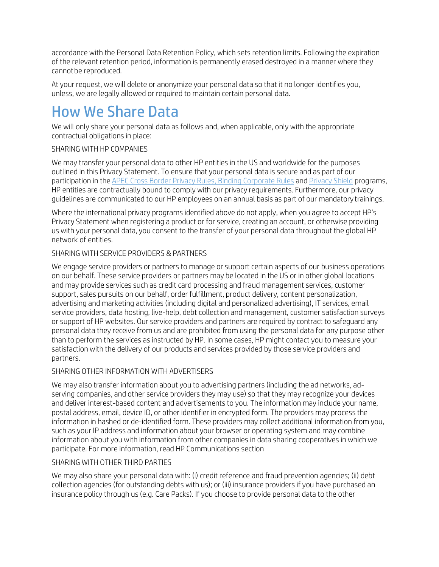accordance with the Personal Data Retention Policy, which sets retention limits. Following the expiration of the relevant retention period, information is permanently erased destroyed in a manner where they cannot be reproduced.

At your request, we will delete or anonymize your personal data so that it no longer identifies you, unless, we are legally allowed or required to maintain certain personal data.

## How We Share Data

We will only share your personal data as follows and, when applicable, only with the appropriate contractual obligations in place:

#### SHARING WITH HP COMPANIES

We may transfer your personal data to other HP entities in the US and worldwide for the purposes outlined in this Privacy Statement. To ensure that your personal data is secure and as part of our participation in th[e APEC Cross Border Privacy Rules,](http://www.cbprs.org/) [Binding Corporate Rules](http://ec.europa.eu/justice/data-protection/international-transfers/binding-corporate-rules/index_en.htm) an[d Privacy Shield](https://www.privacyshield.gov/) programs, HP entities are contractually bound to comply with our privacy requirements. Furthermore, our privacy guidelines are communicated to our HP employees on an annual basis as part of our mandatory trainings.

Where the international privacy programs identified above do not apply, when you agree to accept HP's Privacy Statement when registering a product or for service, creating an account, or otherwise providing us with your personal data, you consent to the transfer of your personal data throughout the global HP network of entities.

#### SHARING WITH SERVICE PROVIDERS & PARTNERS

We engage service providers or partners to manage or support certain aspects of our business operations on our behalf. These service providers or partners may be located in the US or in other global locations and may provide services such as credit card processing and fraud management services, customer support, sales pursuits on our behalf, order fulfillment, product delivery, content personalization, advertising and marketing activities (including digital and personalized advertising), IT services, email service providers, data hosting, live-help, debt collection and management, customer satisfaction surveys or support of HP websites. Our service providers and partners are required by contract to safeguard any personal data they receive from us and are prohibited from using the personal data for any purpose other than to perform the services as instructed by HP. In some cases, HP might contact you to measure your satisfaction with the delivery of our products and services provided by those service providers and partners.

#### SHARING OTHER INFORMATION WITH ADVERTISERS

We may also transfer information about you to advertising partners (including the ad networks, adserving companies, and other service providers they may use) so that they may recognize your devices and deliver interest-based content and advertisements to you. The information may include your name, postal address, email, device ID, or other identifier in encrypted form. The providers may process the information in hashed or de-identified form. These providers may collect additional information from you, such as your IP address and information about your browser or operating system and may combine information about you with information from other companies in data sharing cooperatives in which we participate. For more information, read HP Communications section

#### SHARING WITH OTHER THIRD PARTIES

We may also share your personal data with: (i) credit reference and fraud prevention agencies; (ii) debt collection agencies (for outstanding debts with us); or (iii) insurance providers if you have purchased an insurance policy through us (e.g. Care Packs). If you choose to provide personal data to the other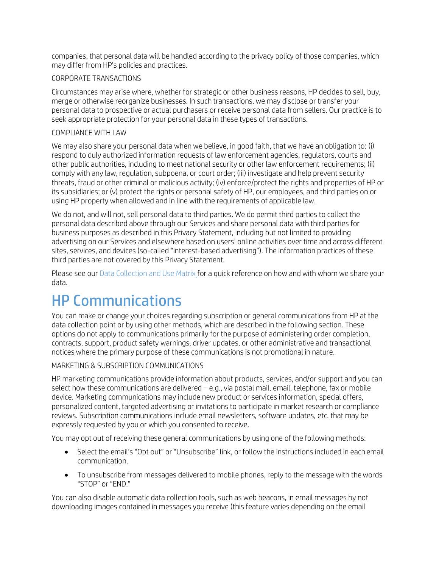companies, that personal data will be handled according to the privacy policy of those companies, which may differ from HP's policies and practices.

#### CORPORATE TRANSACTIONS

Circumstances may arise where, whether for strategic or other business reasons, HP decides to sell, buy, merge or otherwise reorganize businesses. In such transactions, we may disclose or transfer your personal data to prospective or actual purchasers or receive personal data from sellers. Our practice is to seek appropriate protection for your personal data in these types of transactions.

#### COMPLIANCE WITH LAW

We may also share your personal data when we believe, in good faith, that we have an obligation to: (i) respond to duly authorized information requests of law enforcement agencies, regulators, courts and other public authorities, including to meet national security or other law enforcement requirements; (ii) comply with any law, regulation, subpoena, or court order; (iii) investigate and help prevent security threats, fraud or other criminal or malicious activity; (iv) enforce/protect the rights and properties of HP or its subsidiaries; or (v) protect the rights or personal safety of HP, our employees, and third parties on or using HP property when allowed and in line with the requirements of applicable law.

We do not, and will not, sell personal data to third parties. We do permit third parties to collect the personal data described above through our Services and share personal data with third parties for business purposes as described in this Privacy Statement, including but not limited to providing advertising on our Services and elsewhere based on users' online activities over time and across different sites, services, and devices (so-called "interest-based advertising"). The information practices of these third parties are not covered by this Privacy Statement.

Please see our [Data Collection and Use Matrix f](http://www8.hp.com/us/en/pdf/privacy/HP_Privacy_Matrix.pdf)or a quick reference on how and with whom we share your data.

## <span id="page-9-0"></span>HP Communications

You can make or change your choices regarding subscription or general communications from HP at the data collection point or by using other methods, which are described in the following section. These options do not apply to communications primarily for the purpose of administering order completion, contracts, support, product safety warnings, driver updates, or other administrative and transactional notices where the primary purpose of these communications is not promotional in nature.

#### MARKETING & SUBSCRIPTION COMMUNICATIONS

HP marketing communications provide information about products, services, and/or support and you can select how these communications are delivered – e.g., via postal mail, email, telephone, fax or mobile device. Marketing communications may include new product or services information, special offers, personalized content, targeted advertising or invitations to participate in market research or compliance reviews. Subscription communications include email newsletters, software updates, etc. that may be expressly requested by you or which you consented to receive.

You may opt out of receiving these general communications by using one of the following methods:

- Select the email's "Opt out" or "Unsubscribe" link, or follow the instructions included in each email communication.
- To unsubscribe from messages delivered to mobile phones, reply to the message with the words "STOP" or "END."

You can also disable automatic data collection tools, such as web beacons, in email messages by not downloading images contained in messages you receive (this feature varies depending on the email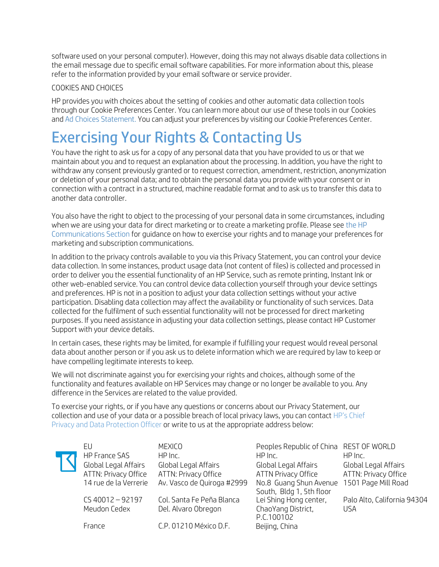software used on your personal computer). However, doing this may not always disable data collections in the email message due to specific email software capabilities. For more information about this, please refer to the information provided by your email software or service provider.

#### COOKIES AND CHOICES

HP provides you with choices about the setting of cookies and other automatic data collection tools through our Cookie Preferences Center. You can learn more about our use of these tools in our Cookies and Ad Choices Statement. You can adjust your preferences by visiting our Cookie Preferences Center.

## <span id="page-10-0"></span>Exercising Your Rights & Contacting Us

You have the right to ask us for a copy of any personal data that you have provided to us or that we maintain about you and to request an explanation about the processing. In addition, you have the right to withdraw any consent previously granted or to request correction, amendment, restriction, anonymization or deletion of your personal data; and to obtain the personal data you provide with your consent or in connection with a contract in a structured, machine readable format and to ask us to transfer this data to another data controller.

You also have the right to object to the processing of your personal data in some circumstances, including when we are using your data for direct marketing or to create a marketing profile. Please se[e the HP](#page-9-0)  [Communications Section f](#page-9-0)or guidance on how to exercise your rights and to manage your preferences for marketing and subscription communications.

In addition to the privacy controls available to you via this Privacy Statement, you can control your device data collection. In some instances, product usage data (not content of files) is collected and processed in order to deliver you the essential functionality of an HP Service, such as remote printing, Instant Ink or other web-enabled service. You can control device data collection yourself through your device settings and preferences. HP is not in a position to adjust your data collection settings without your active participation. Disabling data collection may affect the availability or functionality of such services. Data collected for the fulfilment of such essential functionality will not be processed for direct marketing purposes. If you need assistance in adjusting your data collection settings, please contact HP Customer Support with your device details.

In certain cases, these rights may be limited, for example if fulfilling your request would reveal personal data about another person or if you ask us to delete information which we are required by law to keep or have compelling legitimate interests to keep.

We will not discriminate against you for exercising your rights and choices, although some of the functionality and features available on HP Services may change or no longer be available to you. Any difference in the Services are related to the value provided.

To exercise your rights, or if you have any questions or concerns about our Privacy Statement, our collection and use of your data or a possible breach of local privacy laws, you can contact [HP's Chief](http://www8.hp.com/us/en/privacy/ww-privacy-form.html) [Privacy and Data Protection Officer o](http://www8.hp.com/us/en/privacy/ww-privacy-form.html)r write to us at the appropriate address below:

| EU<br><b>HP France SAS</b><br>Global Legal Affairs<br>ATTN: Privacy Office<br>14 rue de la Verrerie<br>$CS$ 40012 - 92197<br>Meudon Cedex | MEXICO<br>HP Inc.<br>Global Legal Affairs<br>ATTN: Privacy Office<br>Av. Vasco de Quiroga #2999<br>Col. Santa Fe Peña Blanca<br>Del. Alvaro Obregon | Peoples Republic of China REST OF WORLD<br>HP Inc.<br>Global Legal Affairs<br><b>ATTN Privacy Office</b><br>No.8 Guang Shun Avenue<br>South, Bldg 1, 5th floor<br>Lei Shing Hong center,<br>ChaoYang District,<br>P.C.100102 | HP Inc.<br>Global Legal Affairs<br>ATTN: Privacy Office<br>1501 Page Mill Road<br>Palo Alto, California 94304<br><b>USA</b> |
|-------------------------------------------------------------------------------------------------------------------------------------------|-----------------------------------------------------------------------------------------------------------------------------------------------------|------------------------------------------------------------------------------------------------------------------------------------------------------------------------------------------------------------------------------|-----------------------------------------------------------------------------------------------------------------------------|
| France                                                                                                                                    | C.P. 01210 México D.F.                                                                                                                              | Beijing, China                                                                                                                                                                                                               |                                                                                                                             |